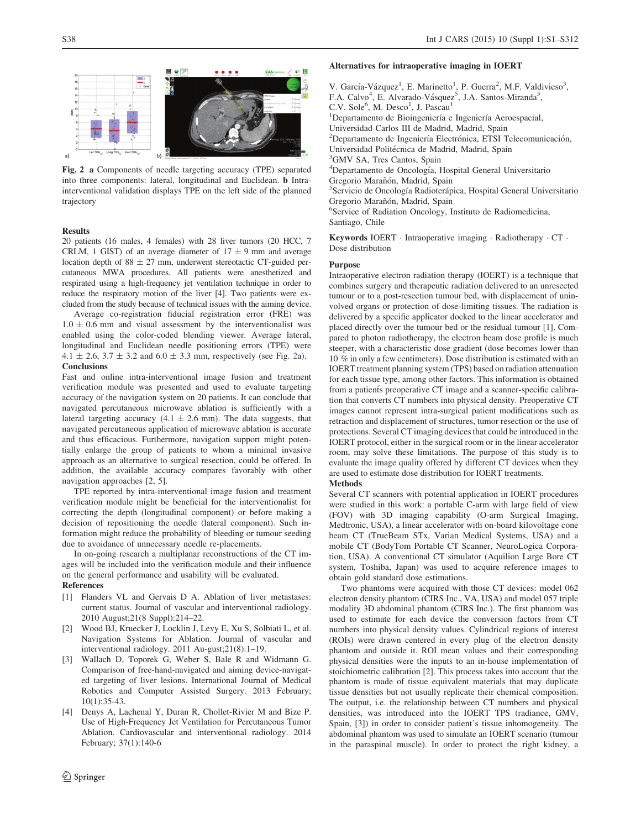

Fig. 2 a Components of needle targeting accuracy (TPE) separated into three components: lateral, longitudinal and Euclidean. b Intrainterventional validation displays TPE on the left side of the planned trajectory

# Results

20 patients (16 males, 4 females) with 28 liver tumors (20 HCC, 7 CRLM, 1 GIST) of an average diameter of  $17 \pm 9$  mm and average location depth of  $88 \pm 27$  mm, underwent stereotactic CT-guided percutaneous MWA procedures. All patients were anesthetized and respirated using a high-frequency jet ventilation technique in order to reduce the respiratory motion of the liver [4]. Two patients were excluded from the study because of technical issues with the aiming device.

Average co-registration fiducial registration error (FRE) was  $1.0 \pm 0.6$  mm and visual assessment by the interventionalist was enabled using the color-coded blending viewer. Average lateral, longitudinal and Euclidean needle positioning errors (TPE) were  $4.1 \pm 2.6$ ,  $3.7 \pm 3.2$  and  $6.0 \pm 3.3$  mm, respectively (see Fig. 2a). **Conclusions** 

Fast and online intra-interventional image fusion and treatment verification module was presented and used to evaluate targeting accuracy of the navigation system on 20 patients. It can conclude that navigated percutaneous microwave ablation is sufficiently with a lateral targeting accuracy (4.1  $\pm$  2.6 mm). The data suggests, that navigated percutaneous application of microwave ablation is accurate and thus efficacious. Furthermore, navigation support might potentially enlarge the group of patients to whom a minimal invasive approach as an alternative to surgical resection, could be offered. In addition, the available accuracy compares favorably with other navigation approaches [2, 5].

TPE reported by intra-interventional image fusion and treatment verification module might be beneficial for the interventionalist for correcting the depth (longitudinal component) or before making a decision of repositioning the needle (lateral component). Such information might reduce the probability of bleeding or tumour seeding due to avoidance of unnecessary needle re-placements.

In on-going research a multiplanar reconstructions of the CT images will be included into the verification module and their influence on the general performance and usability will be evaluated. References

- [1] Flanders VL and Gervais D A. Ablation of liver metastases: current status. Journal of vascular and interventional radiology. 2010 August;21(8 Suppl):214–22.
- [2] Wood BJ, Kruecker J, Locklin J, Levy E, Xu S, Solbiati L, et al. Navigation Systems for Ablation. Journal of vascular and interventional radiology. 2011 Au-gust;21(8):1–19.
- [3] Wallach D, Toporek G, Weber S, Bale R and Widmann G. Comparison of free-hand-navigated and aiming device-navigated targeting of liver lesions. International Journal of Medical Robotics and Computer Assisted Surgery. 2013 February; 10(1):35-43.
- [4] Denys A, Lachenal Y, Duran R, Chollet-Rivier M and Bize P. Use of High-Frequency Jet Ventilation for Percutaneous Tumor Ablation. Cardiovascular and interventional radiology. 2014 February; 37(1):140-6

### Alternatives for intraoperative imaging in IOERT

V. García-Vázquez<sup>1</sup>, E. Marinetto<sup>1</sup>, P. Guerra<sup>2</sup>, M.F. Valdivieso<sup>3</sup>, F.A. Calvo<sup>4</sup>, E. Alvarado-Vásquez<sup>5</sup>, J.A. Santos-Miranda<sup>5</sup>, C.V. Sole<sup>6</sup>, M. Desco<sup>1</sup>, J. Pascau<sup>1</sup> <sup>1</sup>Departamento de Bioingeniería e Ingeniería Aeroespacial, Universidad Carlos III de Madrid, Madrid, Spain <sup>2</sup>Departamento de Ingeniería Electrónica, ETSI Telecomunicación, Universidad Politécnica de Madrid, Madrid, Spain <sup>3</sup>GMV SA, Tres Cantos, Spain <sup>4</sup>Departamento de Oncología, Hospital General Universitario Gregorio Marañón, Madrid, Spain <sup>5</sup>Servicio de Oncología Radioterápica, Hospital General Universitario Gregorio Marañón, Madrid, Spain 6 Service of Radiation Oncology, Instituto de Radiomedicina, Santiago, Chile

Keywords IOERT · Intraoperative imaging · Radiotherapy · CT · Dose distribution

### Purpose

Intraoperative electron radiation therapy (IOERT) is a technique that combines surgery and therapeutic radiation delivered to an unresected tumour or to a post-resection tumour bed, with displacement of uninvolved organs or protection of dose-limiting tissues. The radiation is delivered by a specific applicator docked to the linear accelerator and placed directly over the tumour bed or the residual tumour [1]. Compared to photon radiotherapy, the electron beam dose profile is much steeper, with a characteristic dose gradient (dose becomes lower than 10 % in only a few centimeters). Dose distribution is estimated with an IOERT treatment planning system (TPS) based on radiation attenuation for each tissue type, among other factors. This information is obtained from a patients preoperative CT image and a scanner-specific calibration that converts CT numbers into physical density. Preoperative CT images cannot represent intra-surgical patient modifications such as retraction and displacement of structures, tumor resection or the use of protections. Several CT imaging devices that could be introduced in the IOERT protocol, either in the surgical room or in the linear accelerator room, may solve these limitations. The purpose of this study is to evaluate the image quality offered by different CT devices when they are used to estimate dose distribution for IOERT treatments.

Methods Several CT scanners with potential application in IOERT procedures were studied in this work: a portable C-arm with large field of view (FOV) with 3D imaging capability (O-arm Surgical Imaging, Medtronic, USA), a linear accelerator with on-board kilovoltage cone beam CT (TrueBeam STx, Varian Medical Systems, USA) and a

mobile CT (BodyTom Portable CT Scanner, NeuroLogica Corporation, USA). A conventional CT simulator (Aquilion Large Bore CT system, Toshiba, Japan) was used to acquire reference images to obtain gold standard dose estimations.

Two phantoms were acquired with those CT devices: model 062 electron density phantom (CIRS Inc., VA, USA) and model 057 triple modality 3D abdominal phantom (CIRS Inc.). The first phantom was used to estimate for each device the conversion factors from CT numbers into physical density values. Cylindrical regions of interest (ROIs) were drawn centered in every plug of the electron density phantom and outside it. ROI mean values and their corresponding physical densities were the inputs to an in-house implementation of stoichiometric calibration [2]. This process takes into account that the phantom is made of tissue equivalent materials that may duplicate tissue densities but not usually replicate their chemical composition. The output, i.e. the relationship between CT numbers and physical densities, was introduced into the IOERT TPS (radiance, GMV, Spain, [3]) in order to consider patient's tissue inhomogeneity. The abdominal phantom was used to simulate an IOERT scenario (tumour in the paraspinal muscle). In order to protect the right kidney, a